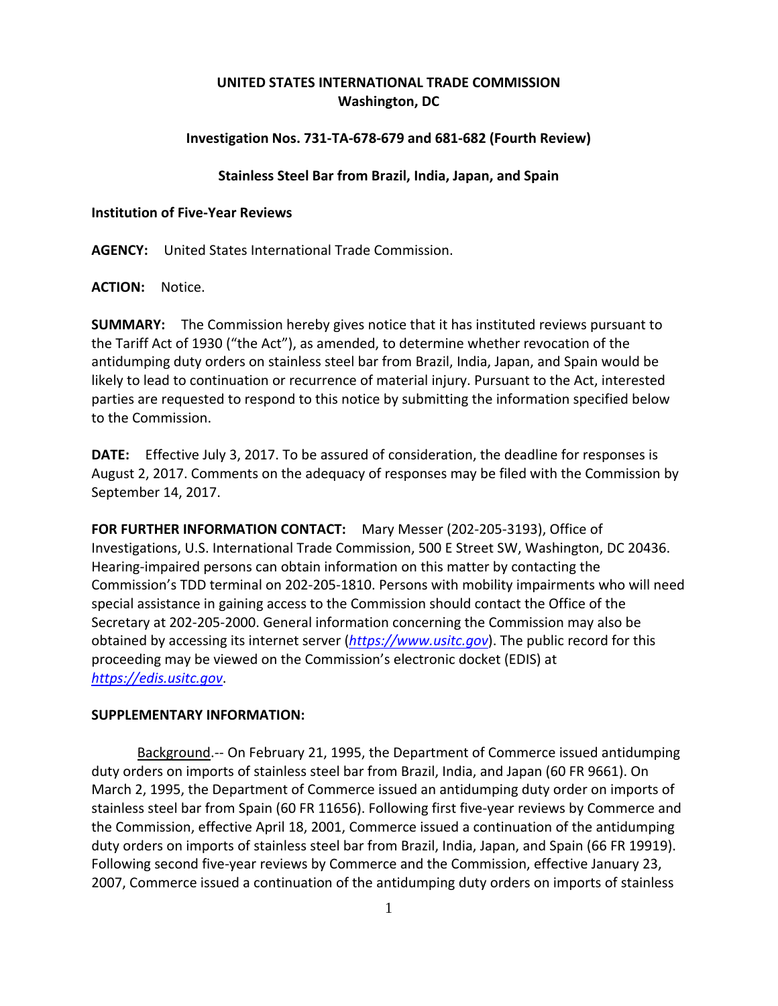# **UNITED STATES INTERNATIONAL TRADE COMMISSION Washington, DC**

## **Investigation Nos. 731‐TA‐678‐679 and 681‐682 (Fourth Review)**

### **Stainless Steel Bar from Brazil, India, Japan, and Spain**

#### **Institution of Five‐Year Reviews**

**AGENCY:** United States International Trade Commission.

**ACTION:** Notice.

**SUMMARY:** The Commission hereby gives notice that it has instituted reviews pursuant to the Tariff Act of 1930 ("the Act"), as amended, to determine whether revocation of the antidumping duty orders on stainless steel bar from Brazil, India, Japan, and Spain would be likely to lead to continuation or recurrence of material injury. Pursuant to the Act, interested parties are requested to respond to this notice by submitting the information specified below to the Commission.

**DATE:** Effective July 3, 2017. To be assured of consideration, the deadline for responses is August 2, 2017. Comments on the adequacy of responses may be filed with the Commission by September 14, 2017.

**FOR FURTHER INFORMATION CONTACT:** Mary Messer (202‐205‐3193), Office of Investigations, U.S. International Trade Commission, 500 E Street SW, Washington, DC 20436. Hearing‐impaired persons can obtain information on this matter by contacting the Commission's TDD terminal on 202‐205‐1810. Persons with mobility impairments who will need special assistance in gaining access to the Commission should contact the Office of the Secretary at 202‐205‐2000. General information concerning the Commission may also be obtained by accessing its internet server (*https://www.usitc.gov*). The public record for this proceeding may be viewed on the Commission's electronic docket (EDIS) at *https://edis.usitc.gov*.

### **SUPPLEMENTARY INFORMATION:**

Background.-- On February 21, 1995, the Department of Commerce issued antidumping duty orders on imports of stainless steel bar from Brazil, India, and Japan (60 FR 9661). On March 2, 1995, the Department of Commerce issued an antidumping duty order on imports of stainless steel bar from Spain (60 FR 11656). Following first five‐year reviews by Commerce and the Commission, effective April 18, 2001, Commerce issued a continuation of the antidumping duty orders on imports of stainless steel bar from Brazil, India, Japan, and Spain (66 FR 19919). Following second five-year reviews by Commerce and the Commission, effective January 23, 2007, Commerce issued a continuation of the antidumping duty orders on imports of stainless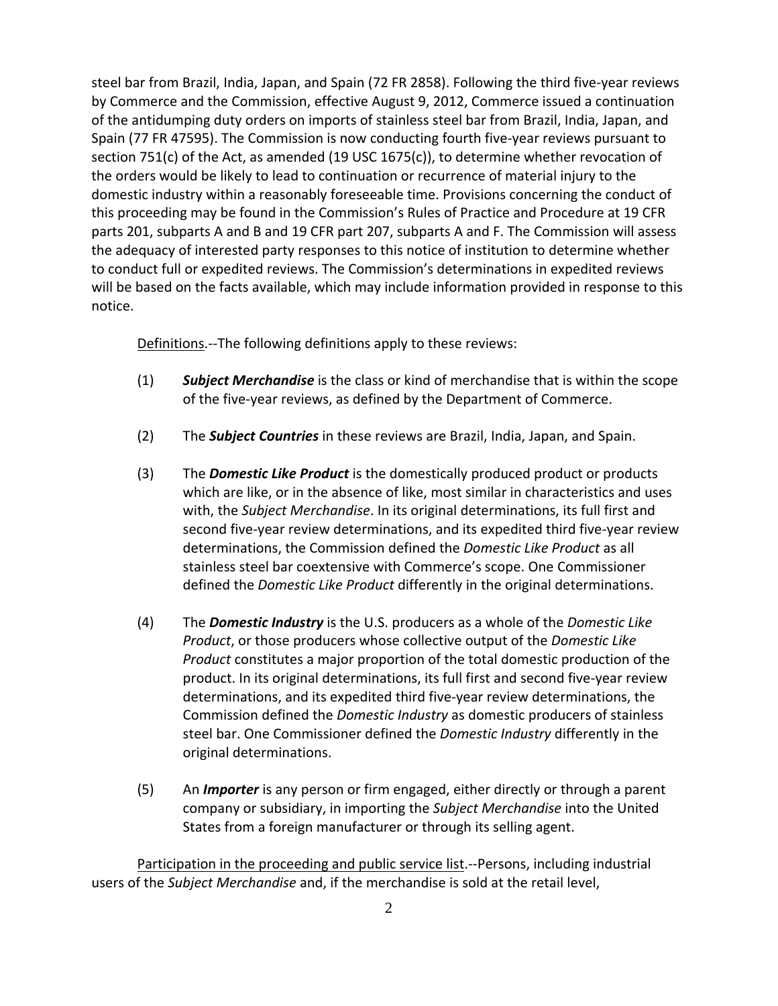steel bar from Brazil, India, Japan, and Spain (72 FR 2858). Following the third five‐year reviews by Commerce and the Commission, effective August 9, 2012, Commerce issued a continuation of the antidumping duty orders on imports of stainless steel bar from Brazil, India, Japan, and Spain (77 FR 47595). The Commission is now conducting fourth five‐year reviews pursuant to section 751(c) of the Act, as amended (19 USC 1675(c)), to determine whether revocation of the orders would be likely to lead to continuation or recurrence of material injury to the domestic industry within a reasonably foreseeable time. Provisions concerning the conduct of this proceeding may be found in the Commission's Rules of Practice and Procedure at 19 CFR parts 201, subparts A and B and 19 CFR part 207, subparts A and F. The Commission will assess the adequacy of interested party responses to this notice of institution to determine whether to conduct full or expedited reviews. The Commission's determinations in expedited reviews will be based on the facts available, which may include information provided in response to this notice.

Definitions.--The following definitions apply to these reviews:

- (1) *Subject Merchandise* is the class or kind of merchandise that is within the scope of the five‐year reviews, as defined by the Department of Commerce.
- (2) The *Subject Countries* in these reviews are Brazil, India, Japan, and Spain.
- (3) The *Domestic Like Product* is the domestically produced product or products which are like, or in the absence of like, most similar in characteristics and uses with, the *Subject Merchandise*. In its original determinations, its full first and second five‐year review determinations, and its expedited third five‐year review determinations, the Commission defined the *Domestic Like Product* as all stainless steel bar coextensive with Commerce's scope. One Commissioner defined the *Domestic Like Product* differently in the original determinations.
- (4) The *Domestic Industry* is the U.S. producers as a whole of the *Domestic Like Product*, or those producers whose collective output of the *Domestic Like Product* constitutes a major proportion of the total domestic production of the product. In its original determinations, its full first and second five‐year review determinations, and its expedited third five‐year review determinations, the Commission defined the *Domestic Industry* as domestic producers of stainless steel bar. One Commissioner defined the *Domestic Industry* differently in the original determinations.
- (5) An *Importer* is any person or firm engaged, either directly or through a parent company or subsidiary, in importing the *Subject Merchandise* into the United States from a foreign manufacturer or through its selling agent.

Participation in the proceeding and public service list.‐‐Persons, including industrial users of the *Subject Merchandise* and, if the merchandise is sold at the retail level,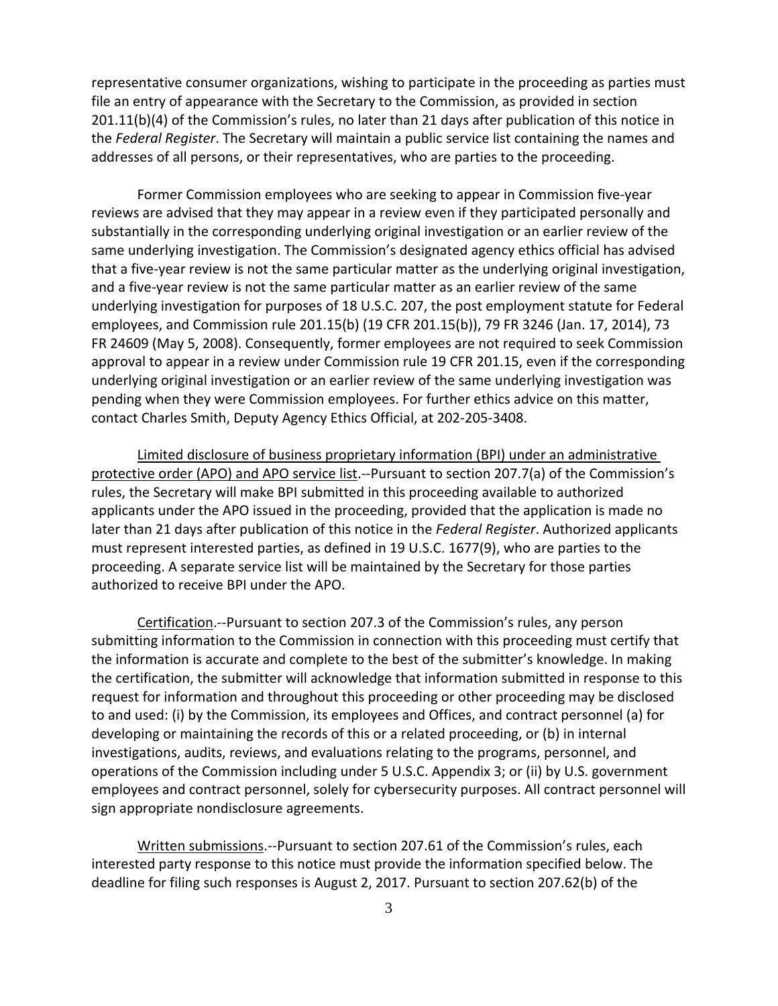representative consumer organizations, wishing to participate in the proceeding as parties must file an entry of appearance with the Secretary to the Commission, as provided in section 201.11(b)(4) of the Commission's rules, no later than 21 days after publication of this notice in the *Federal Register*. The Secretary will maintain a public service list containing the names and addresses of all persons, or their representatives, who are parties to the proceeding.

Former Commission employees who are seeking to appear in Commission five‐year reviews are advised that they may appear in a review even if they participated personally and substantially in the corresponding underlying original investigation or an earlier review of the same underlying investigation. The Commission's designated agency ethics official has advised that a five‐year review is not the same particular matter as the underlying original investigation, and a five‐year review is not the same particular matter as an earlier review of the same underlying investigation for purposes of 18 U.S.C. 207, the post employment statute for Federal employees, and Commission rule 201.15(b) (19 CFR 201.15(b)), 79 FR 3246 (Jan. 17, 2014), 73 FR 24609 (May 5, 2008). Consequently, former employees are not required to seek Commission approval to appear in a review under Commission rule 19 CFR 201.15, even if the corresponding underlying original investigation or an earlier review of the same underlying investigation was pending when they were Commission employees. For further ethics advice on this matter, contact Charles Smith, Deputy Agency Ethics Official, at 202‐205‐3408.

Limited disclosure of business proprietary information (BPI) under an administrative protective order (APO) and APO service list.--Pursuant to section 207.7(a) of the Commission's rules, the Secretary will make BPI submitted in this proceeding available to authorized applicants under the APO issued in the proceeding, provided that the application is made no later than 21 days after publication of this notice in the *Federal Register*. Authorized applicants must represent interested parties, as defined in 19 U.S.C. 1677(9), who are parties to the proceeding. A separate service list will be maintained by the Secretary for those parties authorized to receive BPI under the APO.

Certification.‐‐Pursuant to section 207.3 of the Commission's rules, any person submitting information to the Commission in connection with this proceeding must certify that the information is accurate and complete to the best of the submitter's knowledge. In making the certification, the submitter will acknowledge that information submitted in response to this request for information and throughout this proceeding or other proceeding may be disclosed to and used: (i) by the Commission, its employees and Offices, and contract personnel (a) for developing or maintaining the records of this or a related proceeding, or (b) in internal investigations, audits, reviews, and evaluations relating to the programs, personnel, and operations of the Commission including under 5 U.S.C. Appendix 3; or (ii) by U.S. government employees and contract personnel, solely for cybersecurity purposes. All contract personnel will sign appropriate nondisclosure agreements.

Written submissions.‐‐Pursuant to section 207.61 of the Commission's rules, each interested party response to this notice must provide the information specified below. The deadline for filing such responses is August 2, 2017. Pursuant to section 207.62(b) of the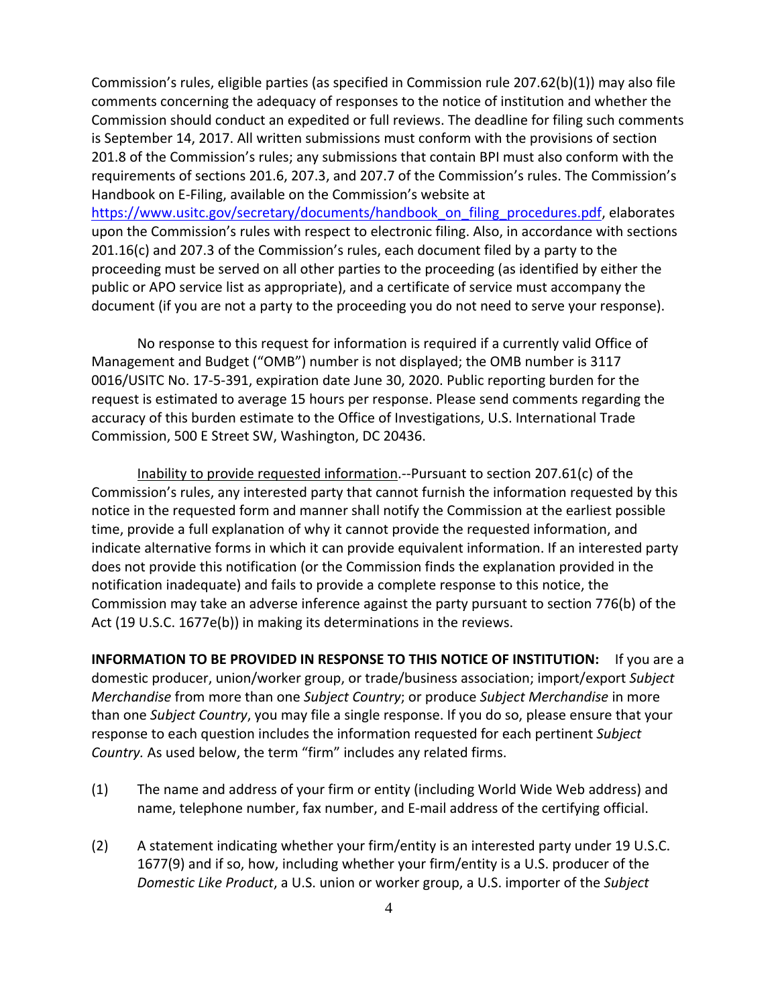Commission's rules, eligible parties (as specified in Commission rule 207.62(b)(1)) may also file comments concerning the adequacy of responses to the notice of institution and whether the Commission should conduct an expedited or full reviews. The deadline for filing such comments is September 14, 2017. All written submissions must conform with the provisions of section 201.8 of the Commission's rules; any submissions that contain BPI must also conform with the requirements of sections 201.6, 207.3, and 207.7 of the Commission's rules. The Commission's Handbook on E‐Filing, available on the Commission's website at https://www.usitc.gov/secretary/documents/handbook\_on\_filing\_procedures.pdf, elaborates upon the Commission's rules with respect to electronic filing. Also, in accordance with sections 201.16(c) and 207.3 of the Commission's rules, each document filed by a party to the proceeding must be served on all other parties to the proceeding (as identified by either the public or APO service list as appropriate), and a certificate of service must accompany the document (if you are not a party to the proceeding you do not need to serve your response).

No response to this request for information is required if a currently valid Office of Management and Budget ("OMB") number is not displayed; the OMB number is 3117 0016/USITC No. 17‐5‐391, expiration date June 30, 2020. Public reporting burden for the request is estimated to average 15 hours per response. Please send comments regarding the accuracy of this burden estimate to the Office of Investigations, U.S. International Trade Commission, 500 E Street SW, Washington, DC 20436.

Inability to provide requested information.‐‐Pursuant to section 207.61(c) of the Commission's rules, any interested party that cannot furnish the information requested by this notice in the requested form and manner shall notify the Commission at the earliest possible time, provide a full explanation of why it cannot provide the requested information, and indicate alternative forms in which it can provide equivalent information. If an interested party does not provide this notification (or the Commission finds the explanation provided in the notification inadequate) and fails to provide a complete response to this notice, the Commission may take an adverse inference against the party pursuant to section 776(b) of the Act (19 U.S.C. 1677e(b)) in making its determinations in the reviews.

**INFORMATION TO BE PROVIDED IN RESPONSE TO THIS NOTICE OF INSTITUTION:** If you are a domestic producer, union/worker group, or trade/business association; import/export *Subject Merchandise* from more than one *Subject Country*; or produce *Subject Merchandise* in more than one *Subject Country*, you may file a single response. If you do so, please ensure that your response to each question includes the information requested for each pertinent *Subject Country.* As used below, the term "firm" includes any related firms.

- (1) The name and address of your firm or entity (including World Wide Web address) and name, telephone number, fax number, and E‐mail address of the certifying official.
- (2) A statement indicating whether your firm/entity is an interested party under 19 U.S.C. 1677(9) and if so, how, including whether your firm/entity is a U.S. producer of the *Domestic Like Product*, a U.S. union or worker group, a U.S. importer of the *Subject*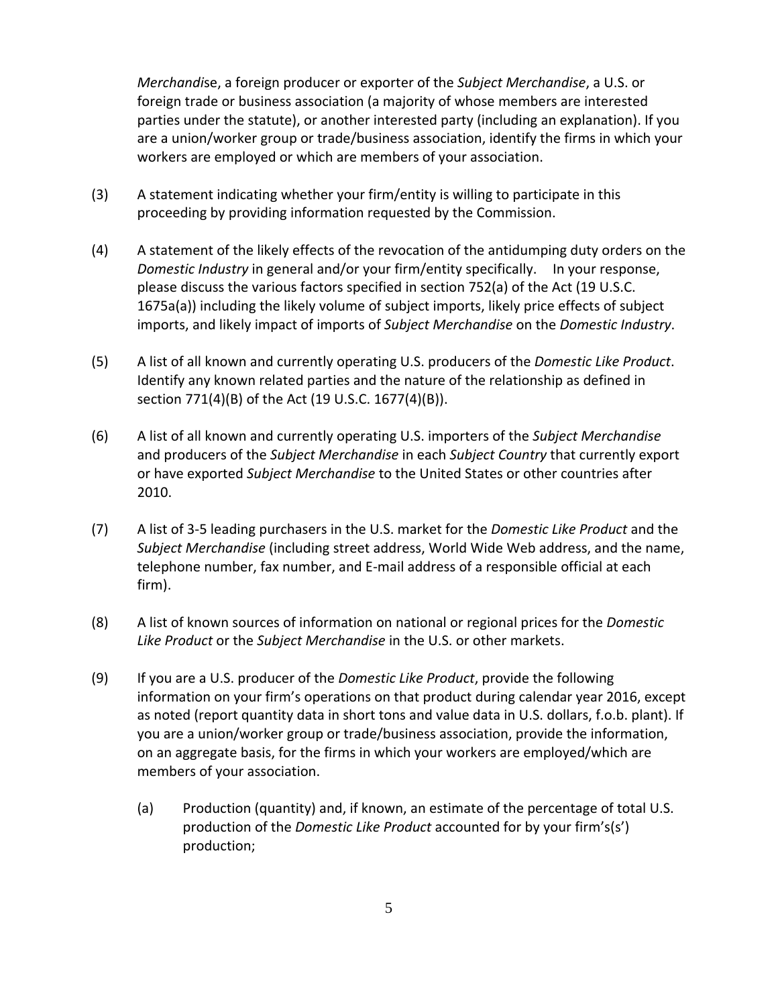*Merchandi*se, a foreign producer or exporter of the *Subject Merchandise*, a U.S. or foreign trade or business association (a majority of whose members are interested parties under the statute), or another interested party (including an explanation). If you are a union/worker group or trade/business association, identify the firms in which your workers are employed or which are members of your association.

- (3) A statement indicating whether your firm/entity is willing to participate in this proceeding by providing information requested by the Commission.
- (4) A statement of the likely effects of the revocation of the antidumping duty orders on the *Domestic Industry* in general and/or your firm/entity specifically. In your response, please discuss the various factors specified in section 752(a) of the Act (19 U.S.C. 1675a(a)) including the likely volume of subject imports, likely price effects of subject imports, and likely impact of imports of *Subject Merchandise* on the *Domestic Industry*.
- (5) A list of all known and currently operating U.S. producers of the *Domestic Like Product*. Identify any known related parties and the nature of the relationship as defined in section 771(4)(B) of the Act (19 U.S.C. 1677(4)(B)).
- (6) A list of all known and currently operating U.S. importers of the *Subject Merchandise* and producers of the *Subject Merchandise* in each *Subject Country* that currently export or have exported *Subject Merchandise* to the United States or other countries after 2010.
- (7) A list of 3‐5 leading purchasers in the U.S. market for the *Domestic Like Product* and the *Subject Merchandise* (including street address, World Wide Web address, and the name, telephone number, fax number, and E‐mail address of a responsible official at each firm).
- (8) A list of known sources of information on national or regional prices for the *Domestic Like Product* or the *Subject Merchandise* in the U.S. or other markets.
- (9) If you are a U.S. producer of the *Domestic Like Product*, provide the following information on your firm's operations on that product during calendar year 2016, except as noted (report quantity data in short tons and value data in U.S. dollars, f.o.b. plant). If you are a union/worker group or trade/business association, provide the information, on an aggregate basis, for the firms in which your workers are employed/which are members of your association.
	- (a) Production (quantity) and, if known, an estimate of the percentage of total U.S. production of the *Domestic Like Product* accounted for by your firm's(s') production;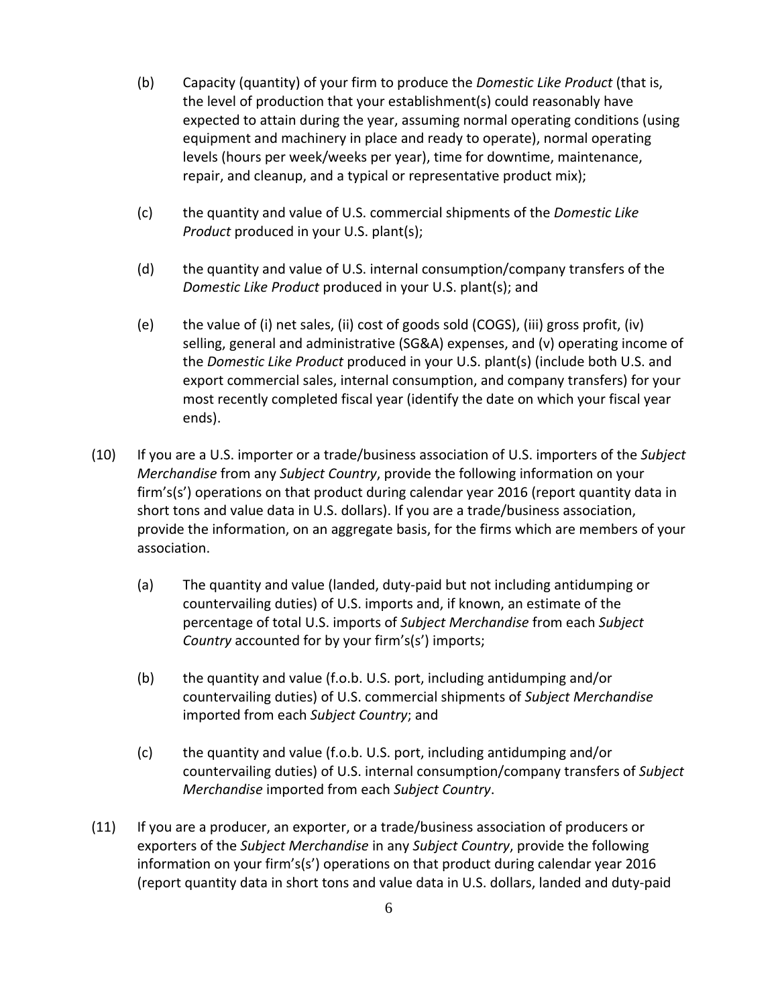- (b) Capacity (quantity) of your firm to produce the *Domestic Like Product* (that is, the level of production that your establishment(s) could reasonably have expected to attain during the year, assuming normal operating conditions (using equipment and machinery in place and ready to operate), normal operating levels (hours per week/weeks per year), time for downtime, maintenance, repair, and cleanup, and a typical or representative product mix);
- (c) the quantity and value of U.S. commercial shipments of the *Domestic Like Product* produced in your U.S. plant(s);
- (d) the quantity and value of U.S. internal consumption/company transfers of the *Domestic Like Product* produced in your U.S. plant(s); and
- (e) the value of (i) net sales, (ii) cost of goods sold (COGS), (iii) gross profit, (iv) selling, general and administrative (SG&A) expenses, and (v) operating income of the *Domestic Like Product* produced in your U.S. plant(s) (include both U.S. and export commercial sales, internal consumption, and company transfers) for your most recently completed fiscal year (identify the date on which your fiscal year ends).
- (10) If you are a U.S. importer or a trade/business association of U.S. importers of the *Subject Merchandise* from any *Subject Country*, provide the following information on your firm's(s') operations on that product during calendar year 2016 (report quantity data in short tons and value data in U.S. dollars). If you are a trade/business association, provide the information, on an aggregate basis, for the firms which are members of your association.
	- (a) The quantity and value (landed, duty‐paid but not including antidumping or countervailing duties) of U.S. imports and, if known, an estimate of the percentage of total U.S. imports of *Subject Merchandise* from each *Subject Country* accounted for by your firm's(s') imports;
	- (b) the quantity and value (f.o.b. U.S. port, including antidumping and/or countervailing duties) of U.S. commercial shipments of *Subject Merchandise* imported from each *Subject Country*; and
	- (c) the quantity and value (f.o.b. U.S. port, including antidumping and/or countervailing duties) of U.S. internal consumption/company transfers of *Subject Merchandise* imported from each *Subject Country*.
- (11) If you are a producer, an exporter, or a trade/business association of producers or exporters of the *Subject Merchandise* in any *Subject Country*, provide the following information on your firm's(s') operations on that product during calendar year 2016 (report quantity data in short tons and value data in U.S. dollars, landed and duty‐paid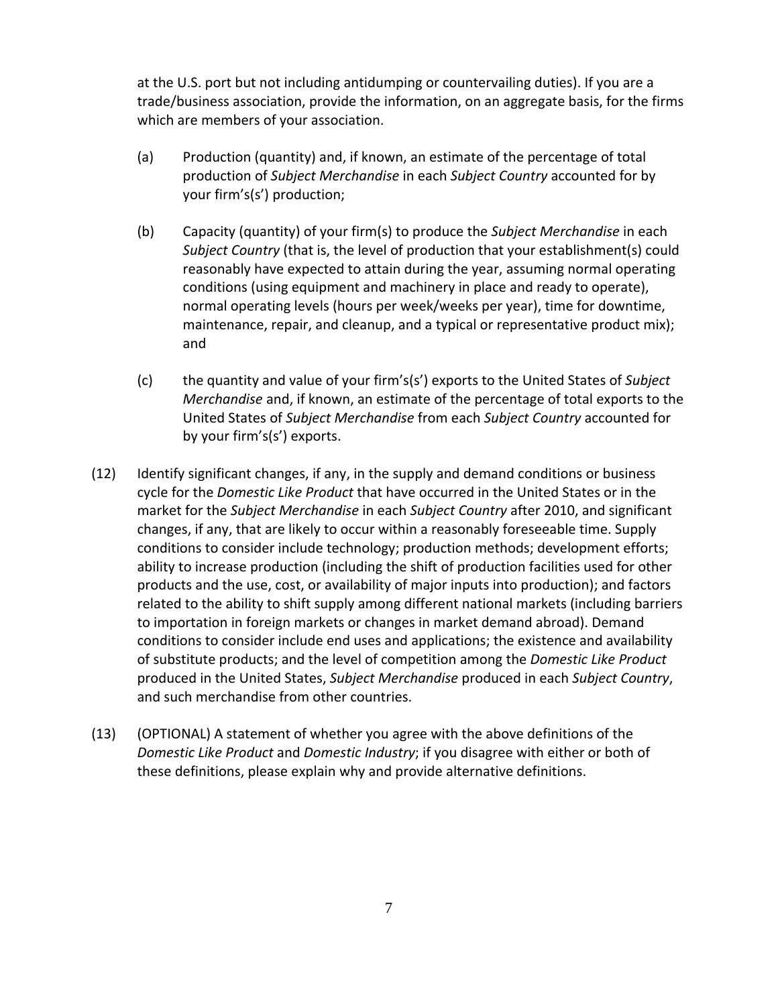at the U.S. port but not including antidumping or countervailing duties). If you are a trade/business association, provide the information, on an aggregate basis, for the firms which are members of your association.

- (a) Production (quantity) and, if known, an estimate of the percentage of total production of *Subject Merchandise* in each *Subject Country* accounted for by your firm's(s') production;
- (b) Capacity (quantity) of your firm(s) to produce the *Subject Merchandise* in each *Subject Country* (that is, the level of production that your establishment(s) could reasonably have expected to attain during the year, assuming normal operating conditions (using equipment and machinery in place and ready to operate), normal operating levels (hours per week/weeks per year), time for downtime, maintenance, repair, and cleanup, and a typical or representative product mix); and
- (c) the quantity and value of your firm's(s') exports to the United States of *Subject Merchandise* and, if known, an estimate of the percentage of total exports to the United States of *Subject Merchandise* from each *Subject Country* accounted for by your firm's(s') exports.
- (12) Identify significant changes, if any, in the supply and demand conditions or business cycle for the *Domestic Like Product* that have occurred in the United States or in the market for the *Subject Merchandise* in each *Subject Country* after 2010, and significant changes, if any, that are likely to occur within a reasonably foreseeable time. Supply conditions to consider include technology; production methods; development efforts; ability to increase production (including the shift of production facilities used for other products and the use, cost, or availability of major inputs into production); and factors related to the ability to shift supply among different national markets (including barriers to importation in foreign markets or changes in market demand abroad). Demand conditions to consider include end uses and applications; the existence and availability of substitute products; and the level of competition among the *Domestic Like Product* produced in the United States, *Subject Merchandise* produced in each *Subject Country*, and such merchandise from other countries.
- (13) (OPTIONAL) A statement of whether you agree with the above definitions of the *Domestic Like Product* and *Domestic Industry*; if you disagree with either or both of these definitions, please explain why and provide alternative definitions.